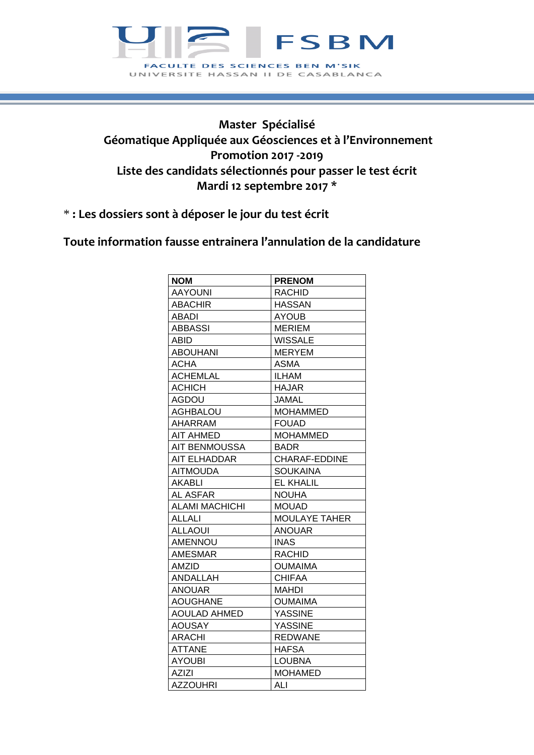

## **Master Spécialisé Géomatique Appliquée aux Géosciences et à l'Environnement Promotion 2017 -2019 Liste des candidats sélectionnés pour passer le test écrit Mardi 12 septembre 2017 \***

\* **: Les dossiers sont à déposer le jour du test écrit**

**Toute information fausse entrainera l'annulation de la candidature**

| <b>NOM</b>            | <b>PRENOM</b>    |
|-----------------------|------------------|
| <b>AAYOUNI</b>        | <b>RACHID</b>    |
| <b>ABACHIR</b>        | <b>HASSAN</b>    |
| <b>ABADI</b>          | <b>AYOUB</b>     |
| <b>ABBASSI</b>        | <b>MERIEM</b>    |
| <b>ABID</b>           | <b>WISSALE</b>   |
| <b>ABOUHANI</b>       | <b>MERYEM</b>    |
| <b>ACHA</b>           | <b>ASMA</b>      |
| <b>ACHEMLAL</b>       | ILHAM            |
| <b>ACHICH</b>         | <b>HAJAR</b>     |
| <b>AGDOU</b>          | <b>JAMAL</b>     |
| <b>AGHBALOU</b>       | <b>MOHAMMED</b>  |
| AHARRAM               | <b>FOUAD</b>     |
| <b>AIT AHMED</b>      | <b>MOHAMMED</b>  |
| <b>AIT BENMOUSSA</b>  | <b>BADR</b>      |
| <b>AIT ELHADDAR</b>   | CHARAF-EDDINE    |
| <b>AITMOUDA</b>       | <b>SOUKAINA</b>  |
| AKABLI                | <b>EL KHALIL</b> |
| <b>AL ASFAR</b>       | <b>NOUHA</b>     |
| <b>ALAMI MACHICHI</b> | <b>MOUAD</b>     |
| <b>ALLALI</b>         | MOULAYE TAHER    |
| <b>ALLAOUI</b>        | <b>ANOUAR</b>    |
| <b>AMENNOU</b>        | <b>INAS</b>      |
| <b>AMESMAR</b>        | <b>RACHID</b>    |
| <b>AMZID</b>          | <b>OUMAIMA</b>   |
| ANDALLAH              | <b>CHIFAA</b>    |
| <b>ANOUAR</b>         | MAHDI            |
| <b>AOUGHANE</b>       | <b>OUMAIMA</b>   |
| <b>AOULAD AHMED</b>   | <b>YASSINE</b>   |
| <b>AOUSAY</b>         | <b>YASSINE</b>   |
| <b>ARACHI</b>         | <b>REDWANE</b>   |
| <b>ATTANE</b>         | <b>HAFSA</b>     |
| <b>AYOUBI</b>         | <b>LOUBNA</b>    |
| <b>AZIZI</b>          | <b>MOHAMED</b>   |
| <b>AZZOUHRI</b>       | ALI              |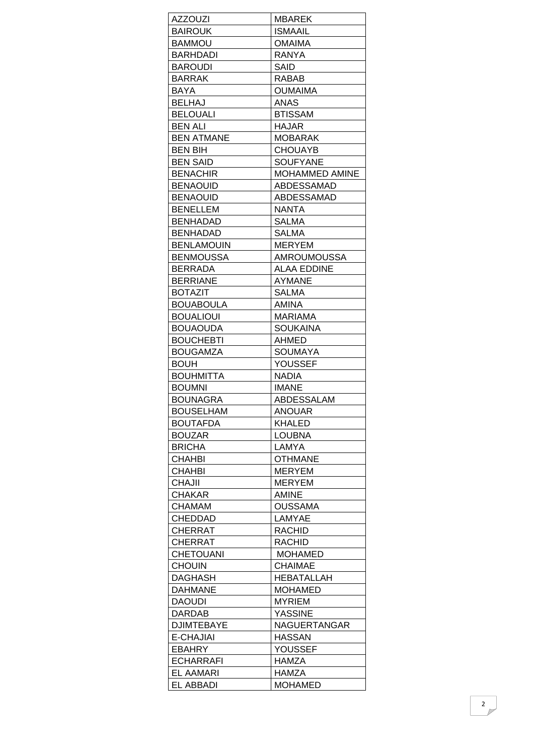| <b>AZZOUZI</b>    | <b>MBAREK</b>         |
|-------------------|-----------------------|
| <b>BAIROUK</b>    | <b>ISMAAIL</b>        |
| BAMMOU            | <b>OMAIMA</b>         |
| <b>BARHDADI</b>   | RANYA                 |
| <b>BAROUDI</b>    | SAID                  |
| <b>BARRAK</b>     | <b>RABAB</b>          |
| BAYA              | <b>OUMAIMA</b>        |
| <b>BELHAJ</b>     | <b>ANAS</b>           |
| <b>BELOUALI</b>   | <b>BTISSAM</b>        |
| <b>BEN ALI</b>    | <b>HAJAR</b>          |
| <b>BEN ATMANE</b> | <b>MOBARAK</b>        |
| <b>BEN BIH</b>    | <b>CHOUAYB</b>        |
| <b>BEN SAID</b>   | <b>SOUFYANE</b>       |
| <b>BENACHIR</b>   | <b>MOHAMMED AMINE</b> |
| <b>BENAOUID</b>   | ABDESSAMAD            |
| <b>BENAOUID</b>   | ABDESSAMAD            |
| <b>BENELLEM</b>   | <b>NANTA</b>          |
| BENHADAD          | <b>SALMA</b>          |
| <b>BENHADAD</b>   | <b>SALMA</b>          |
| <b>BENLAMOUIN</b> | <b>MERYEM</b>         |
| <b>BENMOUSSA</b>  | <b>AMROUMOUSSA</b>    |
| BERRADA           | <b>ALAA EDDINE</b>    |
| <b>BERRIANE</b>   | AYMANE                |
| <b>BOTAZIT</b>    | SALMA                 |
| BOUABOULA         | AMINA                 |
| <b>BOUALIOUI</b>  | MARIAMA               |
| BOUAOUDA          | SOUKAINA              |
| <b>BOUCHEBTI</b>  | AHMED                 |
| <b>BOUGAMZA</b>   | SOUMAYA               |
| <b>BOUH</b>       | <b>YOUSSEF</b>        |
| BOUHMITTA         | <b>NADIA</b>          |
| <b>BOUMNI</b>     | <b>IMANE</b>          |
| <b>BOUNAGRA</b>   | ABDESSALAM            |
| <b>BOUSELHAM</b>  | <b>ANOUAR</b>         |
| <b>BOUTAFDA</b>   | KHALED                |
| BOUZAR            | <b>LOUBNA</b>         |
| <b>BRICHA</b>     | LAMYA                 |
| <b>CHAHBI</b>     | <b>OTHMANE</b>        |
| CHAHBI            | <b>MERYEM</b>         |
| <b>CHAJII</b>     | <b>MERYEM</b>         |
| CHAKAR            | <b>AMINE</b>          |
| CHAMAM            | <b>OUSSAMA</b>        |
| CHEDDAD           | LAMYAE                |
| CHERRAT           | <b>RACHID</b>         |
| CHERRAT           | <b>RACHID</b>         |
| <b>CHETOUANI</b>  | <b>MOHAMED</b>        |
| <b>CHOUIN</b>     | <b>CHAIMAE</b>        |
| DAGHASH           | HEBATALLAH            |
| DAHMANE           | <b>MOHAMED</b>        |
| DAOUDI            | <b>MYRIEM</b>         |
| DARDAB            | <b>YASSINE</b>        |
| <b>DJIMTEBAYE</b> | NAGUERTANGAR          |
| E-CHAJIAI         | HASSAN                |
| EBAHRY            | <b>YOUSSEF</b>        |
| <b>ECHARRAFI</b>  | HAMZA                 |
| EL AAMARI         | HAMZA                 |
| EL ABBADI         | <b>MOHAMED</b>        |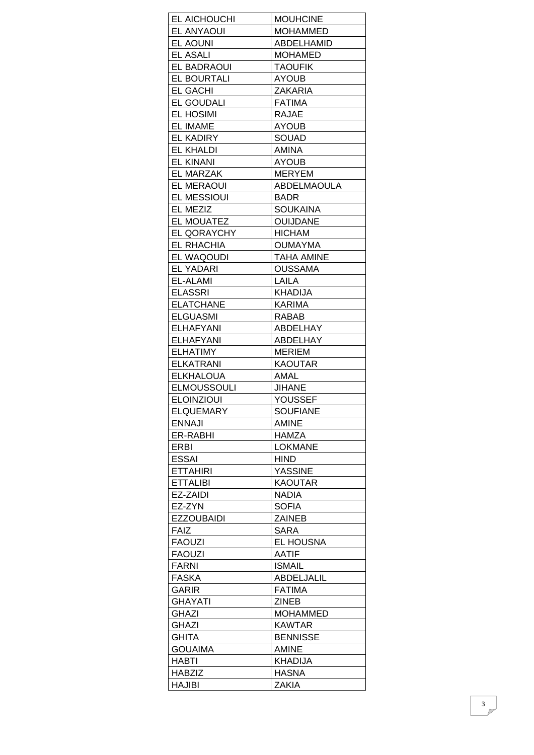| EL AICHOUCHI       | <b>MOUHCINE</b>   |
|--------------------|-------------------|
| <b>EL ANYAOUI</b>  | <b>MOHAMMED</b>   |
| <b>EL AOUNI</b>    | ABDELHAMID        |
| EL ASALI           | <b>MOHAMED</b>    |
| EL BADRAOUI        | <b>TAOUFIK</b>    |
| EL BOURTALI        | <b>AYOUB</b>      |
| <b>EL GACHI</b>    | ZAKARIA           |
| <b>EL GOUDALI</b>  | <b>FATIMA</b>     |
| <b>EL HOSIMI</b>   | <b>RAJAE</b>      |
| <b>EL IMAME</b>    | AYOUB             |
| <b>EL KADIRY</b>   | <b>SOUAD</b>      |
| <b>EL KHALDI</b>   | AMINA             |
| <b>EL KINANI</b>   | <b>AYOUB</b>      |
| <b>EL MARZAK</b>   | <b>MERYEM</b>     |
| <b>EL MERAOUI</b>  | ABDELMAOULA       |
| <b>EL MESSIOUI</b> | <b>BADR</b>       |
| EL MEZIZ           | <b>SOUKAINA</b>   |
| <b>EL MOUATEZ</b>  | <b>OUIJDANE</b>   |
| <b>EL QORAYCHY</b> | <b>HICHAM</b>     |
| EL RHACHIA         | <b>OUMAYMA</b>    |
| EL WAQOUDI         | TAHA AMINE        |
| <b>EL YADARI</b>   | <b>OUSSAMA</b>    |
| EL-ALAMI           | LAILA             |
| <b>ELASSRI</b>     | <b>KHADIJA</b>    |
| <b>ELATCHANE</b>   | KARIMA            |
| <b>ELGUASMI</b>    | RABAB             |
| <b>ELHAFYANI</b>   | ABDELHAY          |
| <b>ELHAFYANI</b>   | ABDELHAY          |
| ELHATIMY           | <b>MERIEM</b>     |
| <b>ELKATRANI</b>   | <b>KAOUTAR</b>    |
| <b>ELKHALOUA</b>   | AMAL              |
| <b>ELMOUSSOULI</b> | <b>JIHANE</b>     |
| <b>ELOINZIOUI</b>  | <b>YOUSSEF</b>    |
| ELQUEMARY          | <b>SOUFIANE</b>   |
| <b>ENNAJI</b>      | <b>AMINE</b>      |
| ER-RABHI           | HAMZA             |
| ERBI               | <b>LOKMANE</b>    |
| <b>ESSAI</b>       | <b>HIND</b>       |
| <b>ETTAHIRI</b>    | <b>YASSINE</b>    |
| <b>ETTALIBI</b>    | <b>KAOUTAR</b>    |
| EZ-ZAIDI           | <b>NADIA</b>      |
| EZ-ZYN             | <b>SOFIA</b>      |
| <b>EZZOUBAIDI</b>  | <b>ZAINEB</b>     |
| <b>FAIZ</b>        | <b>SARA</b>       |
| <b>FAOUZI</b>      | EL HOUSNA         |
| <b>FAOUZI</b>      | <b>AATIF</b>      |
| <b>FARNI</b>       | <b>ISMAIL</b>     |
| <b>FASKA</b>       | <b>ABDELJALIL</b> |
| <b>GARIR</b>       | <b>FATIMA</b>     |
| <b>GHAYATI</b>     | <b>ZINEB</b>      |
| GHAZI              | <b>MOHAMMED</b>   |
| <b>GHAZI</b>       | KAWTAR            |
| <b>GHITA</b>       | <b>BENNISSE</b>   |
| <b>GOUAIMA</b>     | <b>AMINE</b>      |
| HABTI              | <b>KHADIJA</b>    |
| <b>HABZIZ</b>      | <b>HASNA</b>      |
| <b>HAJIBI</b>      | <b>ZAKIA</b>      |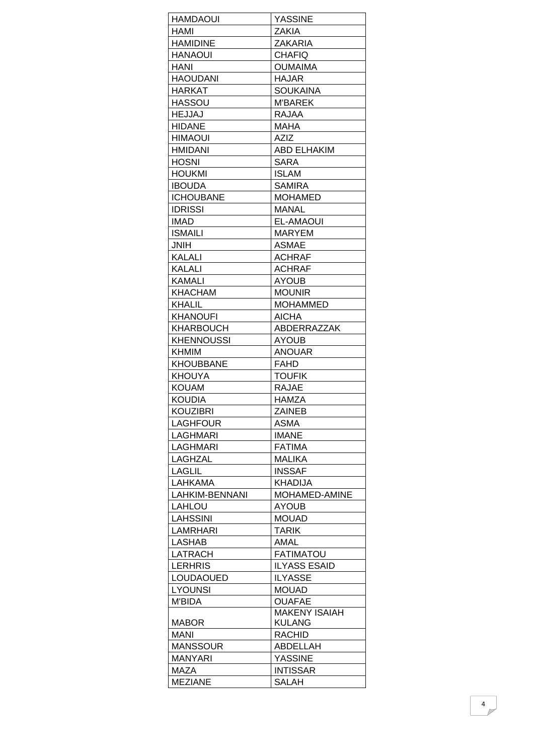| HAMDAOUI                          | <b>YASSINE</b>                        |
|-----------------------------------|---------------------------------------|
| HAMI                              | ZAKIA                                 |
| <b>HAMIDINE</b>                   | <b>ZAKARIA</b>                        |
| <b>HANAOUI</b>                    | <b>CHAFIQ</b>                         |
| HANI                              | <b>OUMAIMA</b>                        |
| <b>HAOUDANI</b>                   | <b>HAJAR</b>                          |
| HARKAT                            | <b>SOUKAINA</b>                       |
| <b>HASSOU</b>                     | <b>M'BAREK</b>                        |
| <b>HEJJAJ</b>                     | <b>RAJAA</b>                          |
| <b>HIDANE</b>                     | MAHA                                  |
| <b>HIMAOUI</b>                    | <b>AZIZ</b>                           |
| <b>HMIDANI</b>                    | <b>ABD ELHAKIM</b>                    |
| <b>HOSNI</b>                      | <b>SARA</b>                           |
|                                   |                                       |
| <b>HOUKMI</b>                     | <b>ISLAM</b>                          |
| <b>IBOUDA</b><br><b>ICHOUBANE</b> | <b>SAMIRA</b>                         |
|                                   | <b>MOHAMED</b>                        |
| <b>IDRISSI</b>                    | <b>MANAL</b>                          |
| <b>IMAD</b>                       | <b>EL-AMAOUI</b>                      |
| <b>ISMAILI</b>                    | <b>MARYEM</b>                         |
| <b>HINL</b>                       | <b>ASMAE</b>                          |
| KALALI                            | <b>ACHRAF</b>                         |
| <b>KALALI</b>                     | <b>ACHRAF</b>                         |
| KAMALI                            | AYOUB                                 |
| KHACHAM                           | <b>MOUNIR</b>                         |
| KHALIL                            | <b>MOHAMMED</b>                       |
| <b>KHANOUFI</b>                   | <b>AICHA</b>                          |
| KHARBOUCH                         | <b>ABDERRAZZAK</b>                    |
| <b>KHENNOUSSI</b>                 | <b>AYOUB</b>                          |
| KHMIM                             | <b>ANOUAR</b>                         |
| <b>KHOUBBANE</b>                  | <b>FAHD</b>                           |
| KHOUYA                            | <b>TOUFIK</b>                         |
| <b>KOUAM</b>                      | <b>RAJAE</b>                          |
| <b>KOUDIA</b>                     | <b>HAMZA</b>                          |
| <b>KOUZIBRI</b>                   | <b>ZAINEB</b>                         |
| LAGHFOUR                          | ASMA                                  |
| LAGHMARI                          | <b>IMANE</b>                          |
| LAGHMARI                          | <b>FATIMA</b>                         |
| LAGHZAL                           | <b>MALIKA</b>                         |
| LAGLIL                            | <b>INSSAF</b>                         |
| LAHKAMA                           | <b>KHADIJA</b>                        |
| LAHKIM-BENNANI                    | MOHAMED-AMINE                         |
| LAHLOU                            | AYOUB                                 |
| <b>LAHSSINI</b>                   | <b>MOUAD</b>                          |
| LAMRHARI                          | <b>TARIK</b>                          |
| <b>LASHAB</b>                     | AMAL                                  |
| LATRACH                           | <b>FATIMATOU</b>                      |
| <b>LERHRIS</b>                    | <b>ILYASS ESAID</b>                   |
| <b>LOUDAOUED</b>                  | <b>ILYASSE</b>                        |
|                                   | <b>MOUAD</b>                          |
| <b>LYOUNSI</b>                    |                                       |
| <b>M'BIDA</b>                     | <b>OUAFAE</b><br><b>MAKENY ISAIAH</b> |
| <b>MABOR</b>                      | KULANG                                |
| MANI                              | <b>RACHID</b>                         |
| <b>MANSSOUR</b>                   | ABDELLAH                              |
| MANYARI                           | <b>YASSINE</b>                        |
|                                   |                                       |
| MAZA                              | <b>INTISSAR</b>                       |
| <b>MEZIANE</b>                    | <b>SALAH</b>                          |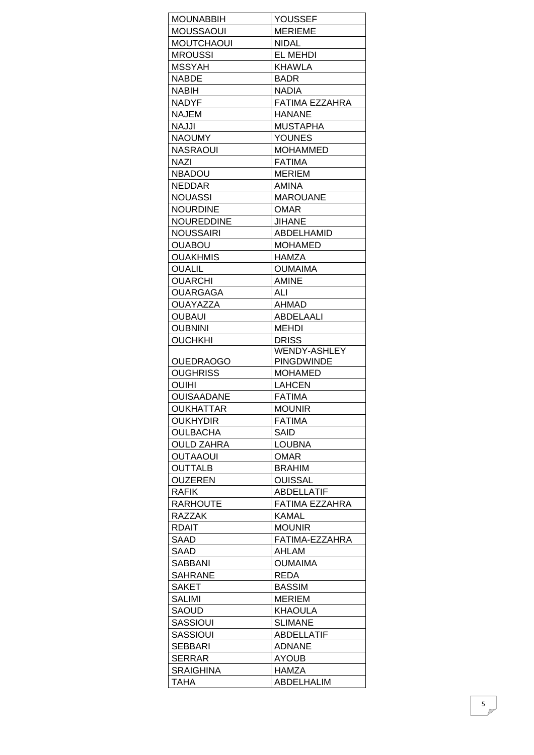| <b>MOUNABBIH</b>           | YOUSSEF                             |
|----------------------------|-------------------------------------|
| <b>MOUSSAOUI</b>           | <b>MERIEME</b>                      |
| <b>MOUTCHAOUI</b>          | <b>NIDAL</b>                        |
| <b>MROUSSI</b>             | <b>EL MEHDI</b>                     |
| <b>MSSYAH</b>              | KHAWLA                              |
| <b>NABDE</b>               | <b>BADR</b>                         |
| <b>NABIH</b>               | <b>NADIA</b>                        |
| <b>NADYF</b>               | FATIMA EZZAHRA                      |
| <b>NAJEM</b>               | <b>HANANE</b>                       |
| NAJJI                      | <b>MUSTAPHA</b>                     |
| <b>NAOUMY</b>              | <b>YOUNES</b>                       |
| <b>NASRAOUI</b>            | <b>MOHAMMED</b>                     |
| <b>NAZI</b>                | <b>FATIMA</b>                       |
| <b>NBADOU</b>              | <b>MERIEM</b>                       |
| <b>NEDDAR</b>              | AMINA                               |
| <b>NOUASSI</b>             | <b>MAROUANE</b>                     |
| <b>NOURDINE</b>            | <b>OMAR</b>                         |
| NOUREDDINE                 | <b>JIHANE</b>                       |
| <b>NOUSSAIRI</b>           | ABDELHAMID                          |
| <b>OUABOU</b>              | <b>MOHAMED</b>                      |
| <b>OUAKHMIS</b>            | HAMZA                               |
| <b>OUALIL</b>              | <b>OUMAIMA</b>                      |
| <b>OUARCHI</b>             | <b>AMINE</b>                        |
| OUARGAGA                   | ALI                                 |
| <b>OUAYAZZA</b>            | AHMAD                               |
| <b>OUBAUI</b>              | ABDELAALI                           |
|                            |                                     |
| <b>OUBNINI</b>             | <b>MEHDI</b>                        |
| <b>OUCHKHI</b>             | <b>DRISS</b><br><b>WENDY-ASHLEY</b> |
| <b>OUEDRAOGO</b>           | <b>PINGDWINDE</b>                   |
| <b>OUGHRISS</b>            | <b>MOHAMED</b>                      |
| <b>OUIHI</b>               | <b>LAHCEN</b>                       |
| <b>OUISAADANE</b>          | <b>FATIMA</b>                       |
| <b>OUKHATTAR</b>           | <b>MOUNIR</b>                       |
| <b>OUKHYDIR</b>            | <b>FATIMA</b>                       |
|                            |                                     |
| <b>OULBACHA</b>            | SAID                                |
| <b>OULD ZAHRA</b>          | <b>LOUBNA</b>                       |
| <b>OUTAAOUI</b>            | <b>OMAR</b>                         |
| <b>OUTTALB</b>             | <b>BRAHIM</b>                       |
| <b>OUZEREN</b>             | <b>OUISSAL</b>                      |
| <b>RAFIK</b>               | ABDELLATIF                          |
| <b>RARHOUTE</b>            | <b>FATIMA EZZAHRA</b>               |
| <b>RAZZAK</b>              | <b>KAMAL</b>                        |
| <b>RDAIT</b>               | <b>MOUNIR</b>                       |
| SAAD                       | FATIMA-EZZAHRA                      |
| SAAD                       | AHLAM                               |
| SABBANI                    | <b>OUMAIMA</b>                      |
| <b>SAHRANE</b>             | <b>REDA</b>                         |
| <b>SAKET</b>               | <b>BASSIM</b>                       |
| <b>SALIMI</b>              | <b>MERIEM</b>                       |
| SAOUD                      | <b>KHAOULA</b>                      |
| <b>SASSIOUI</b>            | <b>SLIMANE</b>                      |
|                            | <b>ABDELLATIF</b>                   |
| <b>SASSIOUI</b>            | <b>ADNANE</b>                       |
| <b>SEBBARI</b>             |                                     |
| SERRAR<br><b>SRAIGHINA</b> | <b>AYOUB</b><br>HAMZA               |